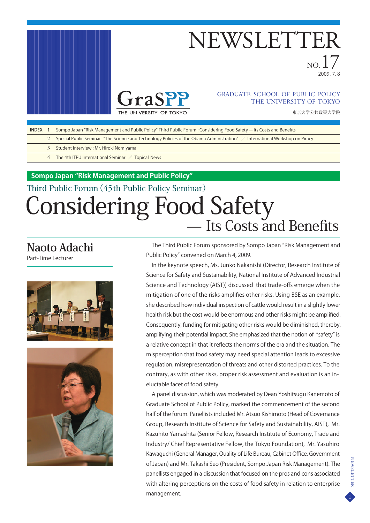

## NEWSLETTER

 $N$  $\Omega$ .  $\blacksquare$ 2009 . 7. 8



#### THE UNIVERSITY OF TOKYO GRADUATE SCHOOL OF PUBLIC POLICY

東京大学公共政策大学院

- 1 INDEX Sompo Japan "Risk Management and Public Policy" Third Public Forum : Considering Food Safety - Its Costs and Benefits
	- $\mathcal{L}$ Special Public Seminar: "The Science and Technology Policies of the Obama Administration" / International Workshop on Piracy
		- 3 Student Interview : Mr. Hiroki Nomiyama
		- 4 The 4th ITPU International Seminar / Topical News

**Sompo Japan "Risk Management and Public Policy"**

## Third Public Forum(45th Public Policy Seminar) Considering Food Safety<br>
— Its Costs and Benefits

### **Naoto Adachi**

Part-Time Lecturer





The Third Public Forum sponsored by Sompo Japan "Risk Management and Public Policy" convened on March 4, 2009.

In the keynote speech, Ms. Junko Nakanishi (Director, Research Institute of Science for Safety and Sustainability, National Institute of Advanced Industrial Science and Technology (AIST)) discussed that trade-offs emerge when the mitigation of one of the risks amplifies other risks. Using BSE as an example, she described how individual inspection of cattle would result in a slightly lower health risk but the cost would be enormous and other risks might be amplified. Consequently, funding for mitigating other risks would be diminished, thereby, amplifying their potential impact. She emphasized that the notion of "safety" is a relative concept in that it reflects the norms of the era and the situation. The misperception that food safety may need special attention leads to excessive regulation, misrepresentation of threats and other distorted practices. To the contrary, as with other risks, proper risk assessment and evaluation is an ineluctable facet of food safety.

A panel discussion, which was moderated by Dean Yoshitsugu Kanemoto of Graduate School of Public Policy, marked the commencement of the second half of the forum. Panellists included Mr. Atsuo Kishimoto (Head of Governance Group, Research Institute of Science for Safety and Sustainability, AIST), Mr. Kazuhito Yamashita (Senior Fellow, Research Institute of Economy, Trade and Industry/ Chief Representative Fellow, the Tokyo Foundation), Mr. Yasuhiro Kawaguchi (General Manager, Quality of Life Bureau, Cabinet Office, Government of Japan) and Mr. Takashi Seo (President, Sompo Japan Risk Management). The panellists engaged in a discussion that focused on the pros and cons associated with altering perceptions on the costs of food safety in relation to enterprise management.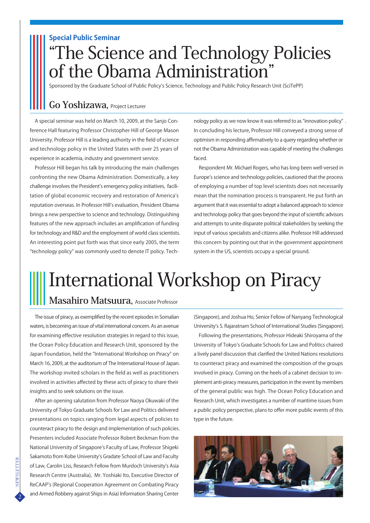#### **Special Public Seminar**

### "The Science and Technology Policies of the Obama Administration"

Sponsored by the Graduate School of Public Policy's Science, Technology and Public Policy Research Unit (SciTePP)

#### **Go Yoshizawa,** Project Lecturer

A special seminar was held on March 10, 2009, at the Sanjo Conference Hall featuring Professor Christopher Hill of George Mason University. Professor Hill is a leading authority in the field of science and technology policy in the United States with over 25 years of experience in academia, industry and government service.

Professor Hill began his talk by introducing the main challenges confronting the new Obama Administration. Domestically, a key challenge involves the President's emergency policy initiatives, facilitation of global economic recovery and restoration of America's reputation overseas. In Professor Hill's evaluation, President Obama brings a new perspective to science and technology. Distinguishing features of the new approach includes an amplification of funding for technology and R&D and the employment of world class scientists. An interesting point put forth was that since early 2005, the term "technology policy" was commonly used to denote IT policy. Technology policy as we now know it was referred to as "innovation policy" . In concluding his lecture, Professor Hill conveyed a strong sense of optimism in responding affirmatively to a query regarding whether or not the Obama Administration was capable of meeting the challenges faced.

Respondent Mr. Michael Rogers, who has long been well-versed in Europe's science and technology policies, cautioned that the process of employing a number of top level scientists does not necessarily mean that the nomination process is transparent. He put forth an argument that it was essential to adopt a balanced approach to science and technology policy that goes beyond the input of scientific advisors and attempts to unite disparate political stakeholders by seeking the input of various specialists and citizens alike. Professor Hill addressed this concern by pointing out that in the government appointment system in the US, scientists occupy a special ground.

## International Workshop on Piracy

#### **Masahiro Matsuura,** Associate Professor

The issue of piracy, as exemplified by the recent episodes in Somalian waters, is becoming an issue of vital international concern. As an avenue for examining effective resolution strategies in regard to this issue, the Ocean Policy Education and Research Unit, sponsored by the Japan Foundation, held the "International Workshop on Piracy" on March 16, 2009, at the auditorium of The International House of Japan. The workshop invited scholars in the field as well as practitioners involved in activities affected by these acts of piracy to share their insights and to seek solutions on the issue.

After an opening salutation from Professor Naoya Okuwaki of the University of Tokyo Graduate Schools for Law and Politics delivered presentations on topics ranging from legal aspects of policies to counteract piracy to the design and implementation of such policies. Presenters included Associate Professor Robert Beckman from the National University of Singapore's Faculty of Law, Professor Shigeki Sakamoto from Kobe University's Gradate School of Law and Faculty of Law, Carolin Liss, Research Fellow from Murdoch University's Asia Research Centre (Australia), Mr. Yoshiaki Ito, Executive Director of ReCAAP's (Regional Cooperation Agreement on Combating Piracy and Armed Robbery against Ships in Asia) Information Sharing Center

(Singapore), and Joshua Ho, Senior Fellow of Nanyang Technological University's S. Rajaratnam School of International Studies (Singapore).

Following the presentations, Professor Hideaki Shiroyama of the University of Tokyo's Graduate Schools for Law and Politics chaired a lively panel discussion that clarified the United Nations resolutions to counteract piracy and examined the composition of the groups involved in piracy. Coming on the heels of a cabinet decision to implement anti-piracy measures, participation in the event by members of the general public was high. The Ocean Policy Education and Research Unit, which investigates a number of maritime issues from a public policy perspective, plans to offer more public events of this type in the future.

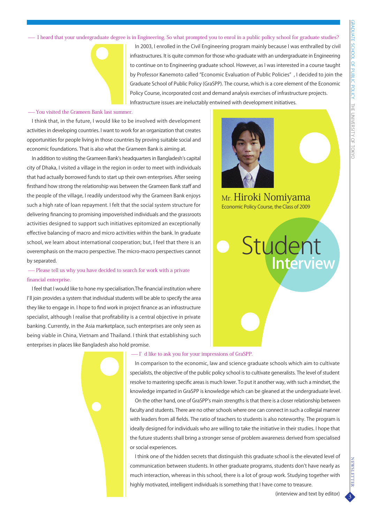- I heard that your undergraduate degree is in Engineering. So what prompted you to enrol in a public policy school for graduate studies?



In 2003, I enrolled in the Civil Engineering program mainly because I was enthralled by civil infrastructures. It is quite common for those who graduate with an undergraduate in Engineering to continue on to Engineering graduate school. However, as I was interested in a course taught by Professor Kanemoto called "Economic Evaluation of Public Policies" , I decided to join the Graduate School of Public Policy (GraSPP). The course, which is a core element of the Economic Policy Course, incorporated cost and demand analysis exercises of infrastructure projects. Infrastructure issues are ineluctably entwined with development initiatives.

#### - You visited the Grameen Bank last summer

I think that, in the future, I would like to be involved with development activities in developing countries. I want to work for an organization that creates opportunities for people living in those countries by proving suitable social and economic foundations. That is also what the Grameen Bank is aiming at.

In addition to visiting the Grameen Bank's headquarters in Bangladesh's capital city of Dhaka, I visited a village in the region in order to meet with individuals that had actually borrowed funds to start up their own enterprises. After seeing firsthand how strong the relationship was between the Grameen Bank staff and the people of the village, I readily understood why the Grameen Bank enjoys such a high rate of loan repayment. I felt that the social system structure for delivering financing to promising impoverished individuals and the grassroots activities designed to support such initiatives epitomized an exceptionally effective balancing of macro and micro activities within the bank. In graduate school, we learn about international cooperation; but, I feel that there is an overemphasis on the macro perspective. The micro-macro perspectives cannot by separated.

-Please tell us why you have decided to search for work with a private financial enterprise.

I feel that I would like to hone my specialisation.The financial institution where I'll join provides a system that individual students will be able to specify the area they like to engage in. I hope to find work in project finance as an infrastructure specialist, although I realise that profitability is a central objective in private banking. Currently, in the Asia marketplace, such enterprises are only seen as being viable in China, Vietnam and Thailand. I think that establishing such enterprises in places like Bangladesh also hold promise.



Economic Policy Course, the Class of 2009 Mr. Hiroki Nomiyama





#### -I' d like to ask you for your impressions of GraSPP.

In comparison to the economic, law and science graduate schools which aim to cultivate specialists, the objective of the public policy school is to cultivate generalists. The level of student resolve to mastering specific areas is much lower. To put it another way, with such a mindset, the knowledge imparted in GraSPP is knowledge which can be gleaned at the undergraduate level.

On the other hand, one of GraSPP's main strengths is that there is a closer relationship between faculty and students. There are no other schools where one can connect in such a collegial manner with leaders from all fields. The ratio of teachers to students is also noteworthy. The program is ideally designed for individuals who are willing to take the initiative in their studies. I hope that the future students shall bring a stronger sense of problem awareness derived from specialised or social experiences.

I think one of the hidden secrets that distinguish this graduate school is the elevated level of communication between students. In other graduate programs, students don't have nearly as much interaction, whereas in this school, there is a lot of group work. Studying together with highly motivated, intelligent individuals is something that I have come to treasure.

3